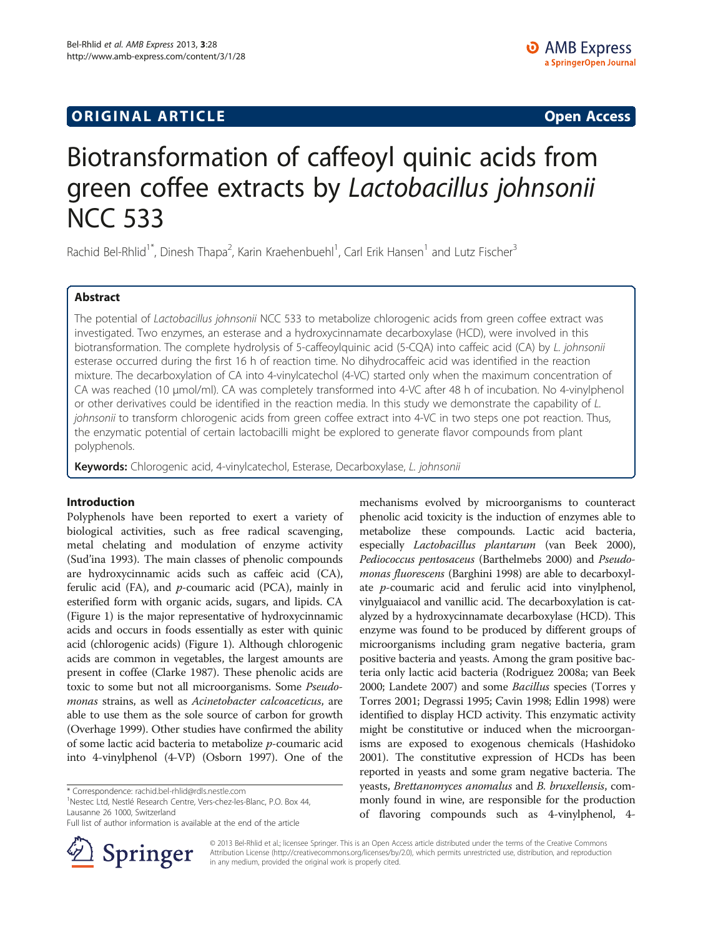# **ORIGINAL ARTICLE CONSUMING A LIGACION CONSUMING A LIGACION CONSUMING A LIGACION**

# Biotransformation of caffeoyl quinic acids from green coffee extracts by Lactobacillus johnsonii NCC 533

Rachid Bel-Rhlid<sup>1\*</sup>, Dinesh Thapa<sup>2</sup>, Karin Kraehenbuehl<sup>1</sup>, Carl Erik Hansen<sup>1</sup> and Lutz Fischer<sup>3</sup>

### Abstract

The potential of Lactobacillus johnsonii NCC 533 to metabolize chlorogenic acids from green coffee extract was investigated. Two enzymes, an esterase and a hydroxycinnamate decarboxylase (HCD), were involved in this biotransformation. The complete hydrolysis of 5-caffeoylquinic acid (5-CQA) into caffeic acid (CA) by L. johnsonii esterase occurred during the first 16 h of reaction time. No dihydrocaffeic acid was identified in the reaction mixture. The decarboxylation of CA into 4-vinylcatechol (4-VC) started only when the maximum concentration of CA was reached (10 μmol/ml). CA was completely transformed into 4-VC after 48 h of incubation. No 4-vinylphenol or other derivatives could be identified in the reaction media. In this study we demonstrate the capability of L. johnsonii to transform chlorogenic acids from green coffee extract into 4-VC in two steps one pot reaction. Thus, the enzymatic potential of certain lactobacilli might be explored to generate flavor compounds from plant polyphenols.

Keywords: Chlorogenic acid, 4-vinylcatechol, Esterase, Decarboxylase, L. johnsonii

#### Introduction

Polyphenols have been reported to exert a variety of biological activities, such as free radical scavenging, metal chelating and modulation of enzyme activity (Sud'ina [1993\)](#page-6-0). The main classes of phenolic compounds are hydroxycinnamic acids such as caffeic acid (CA), ferulic acid (FA), and  $p$ -coumaric acid (PCA), mainly in esterified form with organic acids, sugars, and lipids. CA (Figure [1](#page-1-0)) is the major representative of hydroxycinnamic acids and occurs in foods essentially as ester with quinic acid (chlorogenic acids) (Figure [1](#page-1-0)). Although chlorogenic acids are common in vegetables, the largest amounts are present in coffee (Clarke [1987](#page-6-0)). These phenolic acids are toxic to some but not all microorganisms. Some Pseudomonas strains, as well as Acinetobacter calcoaceticus, are able to use them as the sole source of carbon for growth (Overhage [1999](#page-6-0)). Other studies have confirmed the ability of some lactic acid bacteria to metabolize p-coumaric acid into 4-vinylphenol (4-VP) (Osborn [1997\)](#page-6-0). One of the

<sup>1</sup>Nestec Ltd, Nestlé Research Centre, Vers-chez-les-Blanc, P.O. Box 44, Lausanne 26 1000, Switzerland

Full list of author information is available at the end of the article



mechanisms evolved by microorganisms to counteract phenolic acid toxicity is the induction of enzymes able to metabolize these compounds. Lactic acid bacteria, especially Lactobacillus plantarum (van Beek [2000](#page-6-0)), Pediococcus pentosaceus (Barthelmebs [2000\)](#page-6-0) and Pseudomonas fluorescens (Barghini [1998](#page-6-0)) are able to decarboxylate p-coumaric acid and ferulic acid into vinylphenol, vinylguaiacol and vanillic acid. The decarboxylation is catalyzed by a hydroxycinnamate decarboxylase (HCD). This enzyme was found to be produced by different groups of microorganisms including gram negative bacteria, gram positive bacteria and yeasts. Among the gram positive bacteria only lactic acid bacteria (Rodriguez [2008a](#page-6-0); van Beek [2000](#page-6-0); Landete [2007](#page-6-0)) and some Bacillus species (Torres y Torres [2001;](#page-6-0) Degrassi [1995;](#page-6-0) Cavin [1998](#page-6-0); Edlin [1998](#page-6-0)) were identified to display HCD activity. This enzymatic activity might be constitutive or induced when the microorganisms are exposed to exogenous chemicals (Hashidoko [2001\)](#page-6-0). The constitutive expression of HCDs has been reported in yeasts and some gram negative bacteria. The yeasts, Brettanomyces anomalus and B. bruxellensis, commonly found in wine, are responsible for the production of flavoring compounds such as 4-vinylphenol, 4-

© 2013 Bel-Rhlid et al.; licensee Springer. This is an Open Access article distributed under the terms of the Creative Commons Attribution License [\(http://creativecommons.org/licenses/by/2.0\)](http://creativecommons.org/licenses/by/2.0), which permits unrestricted use, distribution, and reproduction in any medium, provided the original work is properly cited.

<sup>\*</sup> Correspondence: [rachid.bel-rhlid@rdls.nestle.com](mailto:rachid.bel-rhlid@rdls.nestle.com) <sup>1</sup>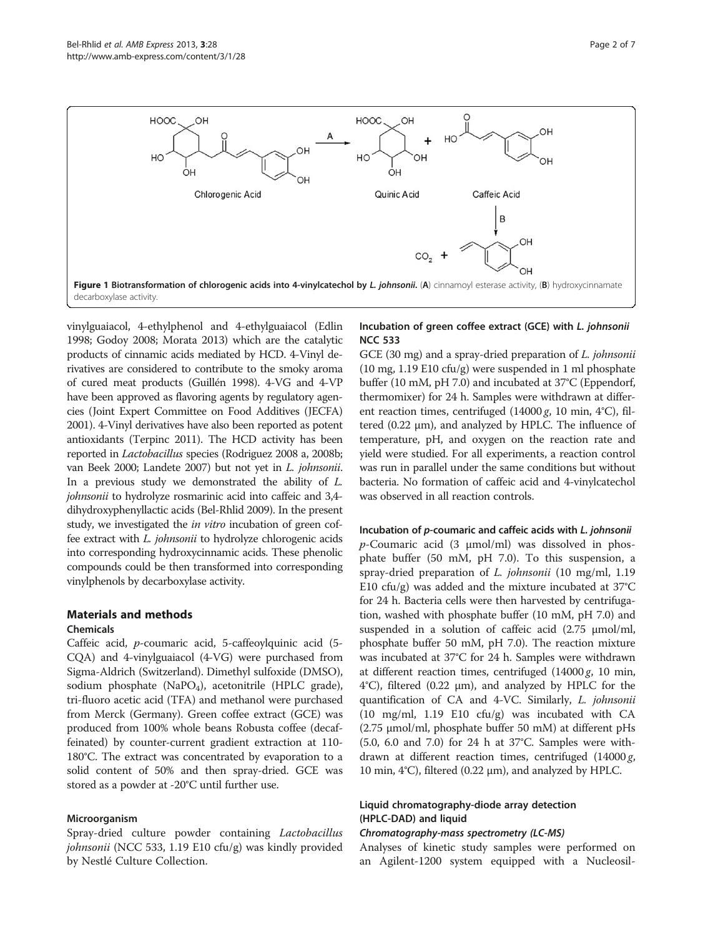<span id="page-1-0"></span>

vinylguaiacol, 4-ethylphenol and 4-ethylguaiacol (Edlin [1998;](#page-6-0) Godoy [2008;](#page-6-0) Morata [2013](#page-6-0)) which are the catalytic products of cinnamic acids mediated by HCD. 4-Vinyl derivatives are considered to contribute to the smoky aroma of cured meat products (Guillén [1998](#page-6-0)). 4-VG and 4-VP have been approved as flavoring agents by regulatory agencies (Joint Expert Committee on Food Additives (JECFA) [2001\)](#page-6-0). 4-Vinyl derivatives have also been reported as potent antioxidants (Terpinc [2011\)](#page-6-0). The HCD activity has been reported in Lactobacillus species (Rodriguez [2008](#page-6-0) a, [2008](#page-6-0)b; van Beek [2000;](#page-6-0) Landete [2007\)](#page-6-0) but not yet in L. johnsonii. In a previous study we demonstrated the ability of L. johnsonii to hydrolyze rosmarinic acid into caffeic and 3,4dihydroxyphenyllactic acids (Bel-Rhlid [2009](#page-6-0)). In the present study, we investigated the *in vitro* incubation of green coffee extract with L. johnsonii to hydrolyze chlorogenic acids into corresponding hydroxycinnamic acids. These phenolic compounds could be then transformed into corresponding vinylphenols by decarboxylase activity.

### Materials and methods

#### Chemicals

Caffeic acid, p-coumaric acid, 5-caffeoylquinic acid (5- CQA) and 4-vinylguaiacol (4-VG) were purchased from Sigma-Aldrich (Switzerland). Dimethyl sulfoxide (DMSO), sodium phosphate (NaPO<sub>4</sub>), acetonitrile (HPLC grade), tri-fluoro acetic acid (TFA) and methanol were purchased from Merck (Germany). Green coffee extract (GCE) was produced from 100% whole beans Robusta coffee (decaffeinated) by counter-current gradient extraction at 110- 180°C. The extract was concentrated by evaporation to a solid content of 50% and then spray-dried. GCE was stored as a powder at -20°C until further use.

#### Microorganism

Spray-dried culture powder containing Lactobacillus johnsonii (NCC 533, 1.19 E10 cfu/g) was kindly provided by Nestlé Culture Collection.

#### Incubation of green coffee extract (GCE) with L. johnsonii NCC 533

GCE (30 mg) and a spray-dried preparation of *L. johnsonii* (10 mg, 1.19 E10 cfu/g) were suspended in 1 ml phosphate buffer (10 mM, pH 7.0) and incubated at 37°C (Eppendorf, thermomixer) for 24 h. Samples were withdrawn at different reaction times, centrifuged  $(14000 g, 10 min, 4°C)$ , filtered (0.22 μm), and analyzed by HPLC. The influence of temperature, pH, and oxygen on the reaction rate and yield were studied. For all experiments, a reaction control was run in parallel under the same conditions but without bacteria. No formation of caffeic acid and 4-vinylcatechol was observed in all reaction controls.

## Incubation of p-coumaric and caffeic acids with L. johnsonii

 $p$ -Coumaric acid (3  $\mu$ mol/ml) was dissolved in phosphate buffer (50 mM, pH 7.0). To this suspension, a spray-dried preparation of L. johnsonii (10 mg/ml, 1.19 E10 cfu/g) was added and the mixture incubated at  $37^{\circ}$ C for 24 h. Bacteria cells were then harvested by centrifugation, washed with phosphate buffer (10 mM, pH 7.0) and suspended in a solution of caffeic acid (2.75 μmol/ml, phosphate buffer 50 mM, pH 7.0). The reaction mixture was incubated at 37°C for 24 h. Samples were withdrawn at different reaction times, centrifuged (14000 g, 10 min, 4°C), filtered (0.22 μm), and analyzed by HPLC for the quantification of CA and 4-VC. Similarly, L. johnsonii (10 mg/ml, 1.19 E10 cfu/g) was incubated with CA (2.75 μmol/ml, phosphate buffer 50 mM) at different pHs (5.0, 6.0 and 7.0) for 24 h at 37°C. Samples were withdrawn at different reaction times, centrifuged  $(14000 g,$ 10 min, 4°C), filtered (0.22 μm), and analyzed by HPLC.

#### Liquid chromatography-diode array detection (HPLC-DAD) and liquid

Analyses of kinetic study samples were performed on an Agilent-1200 system equipped with a Nucleosil-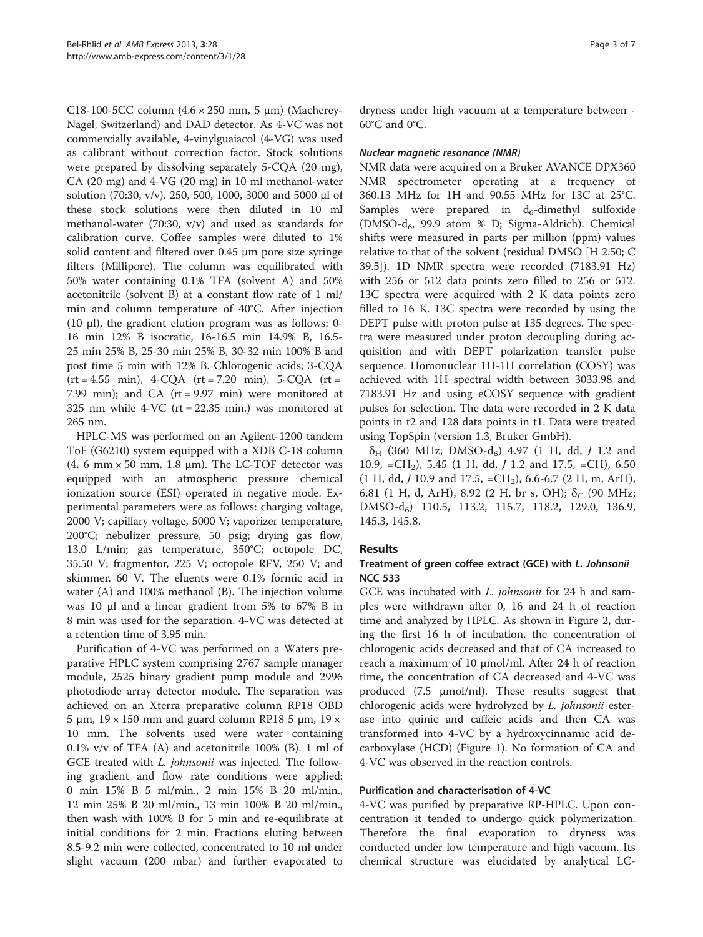C18-100-5CC column  $(4.6 \times 250$  mm, 5  $\mu$ m) (Macherey-Nagel, Switzerland) and DAD detector. As 4-VC was not commercially available, 4-vinylguaiacol (4-VG) was used as calibrant without correction factor. Stock solutions were prepared by dissolving separately 5-CQA (20 mg), CA (20 mg) and 4-VG (20 mg) in 10 ml methanol-water solution (70:30, v/v). 250, 500, 1000, 3000 and 5000 μl of these stock solutions were then diluted in 10 ml methanol-water (70:30, v/v) and used as standards for calibration curve. Coffee samples were diluted to 1% solid content and filtered over 0.45 μm pore size syringe filters (Millipore). The column was equilibrated with 50% water containing 0.1% TFA (solvent A) and 50% acetonitrile (solvent B) at a constant flow rate of 1 ml/ min and column temperature of 40°C. After injection (10 μl), the gradient elution program was as follows: 0- 16 min 12% B isocratic, 16-16.5 min 14.9% B, 16.5- 25 min 25% B, 25-30 min 25% B, 30-32 min 100% B and post time 5 min with 12% B. Chlorogenic acids; 3-CQA  $(rt = 4.55 \text{ min})$ ,  $4-CQA (rt = 7.20 \text{ min})$ ,  $5-CQA (rt = 7.20 \text{ min})$ 7.99 min); and CA  $(rt = 9.97 \text{ min})$  were monitored at 325 nm while 4-VC (rt = 22.35 min.) was monitored at 265 nm.

HPLC-MS was performed on an Agilent-1200 tandem ToF (G6210) system equipped with a XDB C-18 column (4, 6 mm  $\times$  50 mm, 1.8 µm). The LC-TOF detector was equipped with an atmospheric pressure chemical ionization source (ESI) operated in negative mode. Experimental parameters were as follows: charging voltage, 2000 V; capillary voltage, 5000 V; vaporizer temperature, 200°C; nebulizer pressure, 50 psig; drying gas flow, 13.0 L/min; gas temperature, 350°C; octopole DC, 35.50 V; fragmentor, 225 V; octopole RFV, 250 V; and skimmer, 60 V. The eluents were 0.1% formic acid in water (A) and 100% methanol (B). The injection volume was 10 μl and a linear gradient from 5% to 67% B in 8 min was used for the separation. 4-VC was detected at a retention time of 3.95 min.

Purification of 4-VC was performed on a Waters preparative HPLC system comprising 2767 sample manager module, 2525 binary gradient pump module and 2996 photodiode array detector module. The separation was achieved on an Xterra preparative column RP18 OBD 5 μm,  $19 \times 150$  mm and guard column RP18 5 μm,  $19 \times$ 10 mm. The solvents used were water containing 0.1% v/v of TFA (A) and acetonitrile 100% (B). 1 ml of GCE treated with *L. johnsonii* was injected. The following gradient and flow rate conditions were applied: 0 min 15% B 5 ml/min., 2 min 15% B 20 ml/min., 12 min 25% B 20 ml/min., 13 min 100% B 20 ml/min., then wash with 100% B for 5 min and re-equilibrate at initial conditions for 2 min. Fractions eluting between 8.5-9.2 min were collected, concentrated to 10 ml under slight vacuum (200 mbar) and further evaporated to

dryness under high vacuum at a temperature between - 60°C and 0°C.

NMR data were acquired on a Bruker AVANCE DPX360 NMR spectrometer operating at a frequency of 360.13 MHz for 1H and 90.55 MHz for 13C at 25°C. Samples were prepared in  $d_6$ -dimethyl sulfoxide (DMSO- $d_6$ , 99.9 atom % D; Sigma-Aldrich). Chemical shifts were measured in parts per million (ppm) values relative to that of the solvent (residual DMSO [H 2.50; C 39.5]). 1D NMR spectra were recorded (7183.91 Hz) with 256 or 512 data points zero filled to 256 or 512. 13C spectra were acquired with 2 K data points zero filled to 16 K. 13C spectra were recorded by using the DEPT pulse with proton pulse at 135 degrees. The spectra were measured under proton decoupling during acquisition and with DEPT polarization transfer pulse sequence. Homonuclear 1H-1H correlation (COSY) was achieved with 1H spectral width between 3033.98 and 7183.91 Hz and using eCOSY sequence with gradient pulses for selection. The data were recorded in 2 K data points in t2 and 128 data points in t1. Data were treated using TopSpin (version 1.3, Bruker GmbH).

 $\delta_H$  (360 MHz; DMSO-d<sub>6</sub>) 4.97 (1 H, dd, *J* 1.2 and 10.9,  $=CH_2$ ), 5.45 (1 H, dd, J 1.2 and 17.5,  $=CH$ ), 6.50  $(1 H, dd, J 10.9 and 17.5, = CH<sub>2</sub>), 6.6-6.7 (2 H, m, ArH),$ 6.81 (1 H, d, ArH), 8.92 (2 H, br s, OH);  $\delta_C$  (90 MHz; DMSO-d6) 110.5, 113.2, 115.7, 118.2, 129.0, 136.9, 145.3, 145.8.

### Results

#### Treatment of green coffee extract (GCE) with L. Johnsonii NCC 533

GCE was incubated with *L. johnsonii* for 24 h and samples were withdrawn after 0, 16 and 24 h of reaction time and analyzed by HPLC. As shown in Figure [2,](#page-3-0) during the first 16 h of incubation, the concentration of chlorogenic acids decreased and that of CA increased to reach a maximum of 10 μmol/ml. After 24 h of reaction time, the concentration of CA decreased and 4-VC was produced (7.5 μmol/ml). These results suggest that chlorogenic acids were hydrolyzed by L. johnsonii esterase into quinic and caffeic acids and then CA was transformed into 4-VC by a hydroxycinnamic acid decarboxylase (HCD) (Figure [1\)](#page-1-0). No formation of CA and 4-VC was observed in the reaction controls.

#### Purification and characterisation of 4-VC

4-VC was purified by preparative RP-HPLC. Upon concentration it tended to undergo quick polymerization. Therefore the final evaporation to dryness was conducted under low temperature and high vacuum. Its chemical structure was elucidated by analytical LC-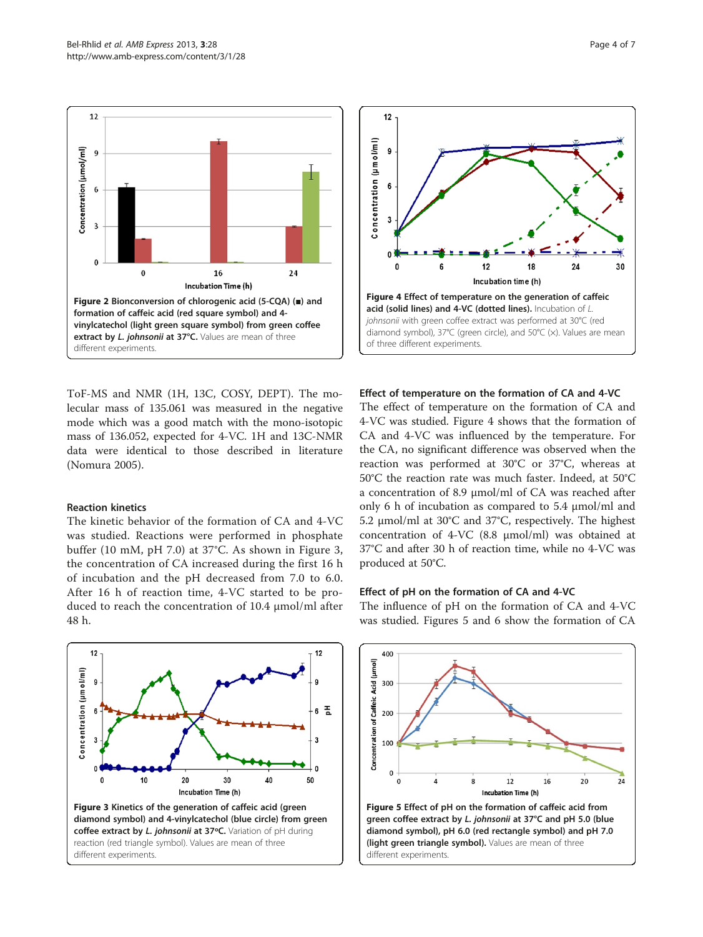<span id="page-3-0"></span>

ToF-MS and NMR (1H, 13C, COSY, DEPT). The molecular mass of 135.061 was measured in the negative mode which was a good match with the mono-isotopic mass of 136.052, expected for 4-VC. 1H and 13C-NMR data were identical to those described in literature (Nomura [2005\)](#page-6-0).

#### Reaction kinetics

The kinetic behavior of the formation of CA and 4-VC was studied. Reactions were performed in phosphate buffer (10 mM, pH 7.0) at 37°C. As shown in Figure 3, the concentration of CA increased during the first 16 h of incubation and the pH decreased from 7.0 to 6.0. After 16 h of reaction time, 4-VC started to be produced to reach the concentration of 10.4 μmol/ml after 48 h.





#### Effect of temperature on the formation of CA and 4-VC

The effect of temperature on the formation of CA and 4-VC was studied. Figure 4 shows that the formation of CA and 4-VC was influenced by the temperature. For the CA, no significant difference was observed when the reaction was performed at 30°C or 37°C, whereas at 50°C the reaction rate was much faster. Indeed, at 50°C a concentration of 8.9 μmol/ml of CA was reached after only 6 h of incubation as compared to 5.4 μmol/ml and 5.2 μmol/ml at 30°C and 37°C, respectively. The highest concentration of 4-VC (8.8 μmol/ml) was obtained at 37°C and after 30 h of reaction time, while no 4-VC was produced at 50°C.

#### Effect of pH on the formation of CA and 4-VC

The influence of pH on the formation of CA and 4-VC was studied. Figures 5 and [6](#page-4-0) show the formation of CA

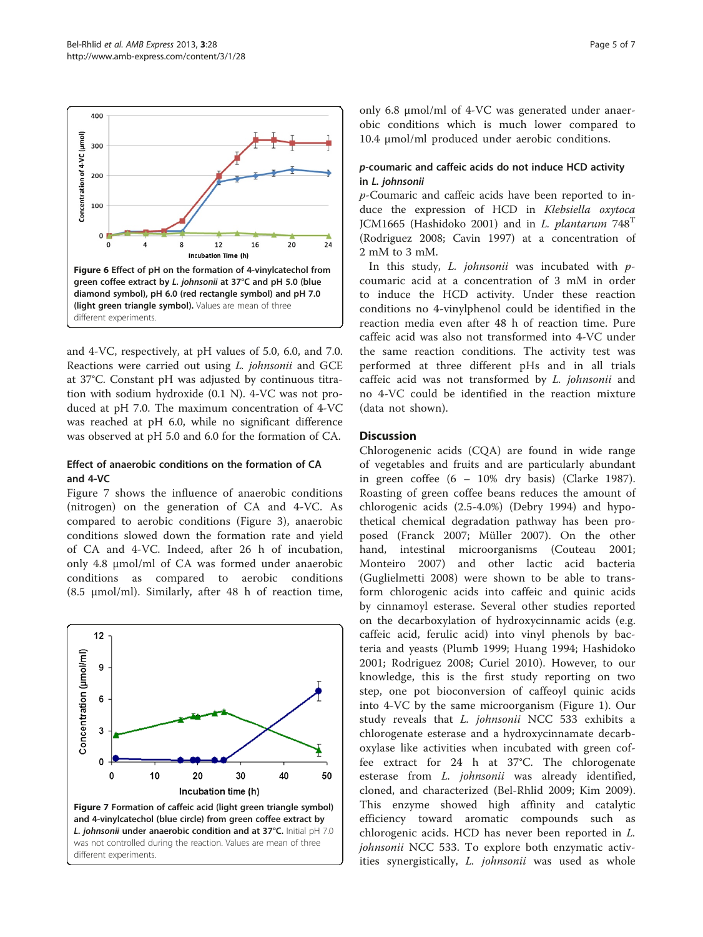<span id="page-4-0"></span>

and 4-VC, respectively, at pH values of 5.0, 6.0, and 7.0. Reactions were carried out using L. johnsonii and GCE at 37°C. Constant pH was adjusted by continuous titration with sodium hydroxide (0.1 N). 4-VC was not produced at pH 7.0. The maximum concentration of 4-VC was reached at pH 6.0, while no significant difference was observed at pH 5.0 and 6.0 for the formation of CA.

#### Effect of anaerobic conditions on the formation of CA and 4-VC

Figure 7 shows the influence of anaerobic conditions (nitrogen) on the generation of CA and 4-VC. As compared to aerobic conditions (Figure [3\)](#page-3-0), anaerobic conditions slowed down the formation rate and yield of CA and 4-VC. Indeed, after 26 h of incubation, only 4.8 μmol/ml of CA was formed under anaerobic conditions as compared to aerobic conditions (8.5 μmol/ml). Similarly, after 48 h of reaction time,



only 6.8 μmol/ml of 4-VC was generated under anaerobic conditions which is much lower compared to 10.4 μmol/ml produced under aerobic conditions.

#### p-coumaric and caffeic acids do not induce HCD activity in L. johnsonii

p-Coumaric and caffeic acids have been reported to induce the expression of HCD in Klebsiella oxytoca JCM1665 (Hashidoko [2001\)](#page-6-0) and in L. plantarum  $748<sup>T</sup>$ (Rodriguez [2008](#page-6-0); Cavin [1997](#page-6-0)) at a concentration of 2 mM to 3 mM.

In this study,  $L.$  johnsonii was incubated with  $p$ coumaric acid at a concentration of 3 mM in order to induce the HCD activity. Under these reaction conditions no 4-vinylphenol could be identified in the reaction media even after 48 h of reaction time. Pure caffeic acid was also not transformed into 4-VC under the same reaction conditions. The activity test was performed at three different pHs and in all trials caffeic acid was not transformed by L. johnsonii and no 4-VC could be identified in the reaction mixture (data not shown).

#### **Discussion**

Chlorogenenic acids (CQA) are found in wide range of vegetables and fruits and are particularly abundant in green coffee (6 – 10% dry basis) (Clarke [1987](#page-6-0)). Roasting of green coffee beans reduces the amount of chlorogenic acids (2.5-4.0%) (Debry [1994](#page-6-0)) and hypothetical chemical degradation pathway has been proposed (Franck [2007;](#page-6-0) Müller [2007\)](#page-6-0). On the other hand, intestinal microorganisms (Couteau [2001](#page-6-0); Monteiro [2007](#page-6-0)) and other lactic acid bacteria (Guglielmetti [2008](#page-6-0)) were shown to be able to transform chlorogenic acids into caffeic and quinic acids by cinnamoyl esterase. Several other studies reported on the decarboxylation of hydroxycinnamic acids (e.g. caffeic acid, ferulic acid) into vinyl phenols by bacteria and yeasts (Plumb [1999;](#page-6-0) Huang [1994;](#page-6-0) Hashidoko [2001;](#page-6-0) Rodriguez [2008;](#page-6-0) Curiel [2010\)](#page-6-0). However, to our knowledge, this is the first study reporting on two step, one pot bioconversion of caffeoyl quinic acids into 4-VC by the same microorganism (Figure [1](#page-1-0)). Our study reveals that *L. johnsonii* NCC 533 exhibits a chlorogenate esterase and a hydroxycinnamate decarboxylase like activities when incubated with green coffee extract for 24 h at 37°C. The chlorogenate esterase from *L. johnsonii* was already identified, cloned, and characterized (Bel-Rhlid [2009;](#page-6-0) Kim [2009](#page-6-0)). This enzyme showed high affinity and catalytic efficiency toward aromatic compounds such as chlorogenic acids. HCD has never been reported in L. johnsonii NCC 533. To explore both enzymatic activities synergistically, L. johnsonii was used as whole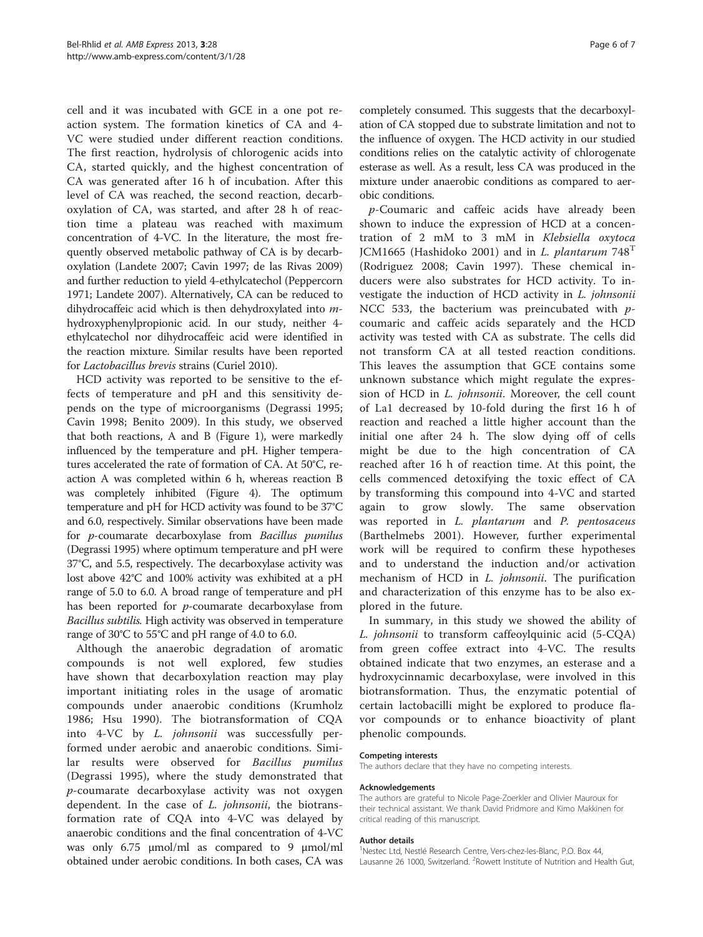cell and it was incubated with GCE in a one pot reaction system. The formation kinetics of CA and 4- VC were studied under different reaction conditions. The first reaction, hydrolysis of chlorogenic acids into CA, started quickly, and the highest concentration of CA was generated after 16 h of incubation. After this level of CA was reached, the second reaction, decarboxylation of CA, was started, and after 28 h of reaction time a plateau was reached with maximum concentration of 4-VC. In the literature, the most frequently observed metabolic pathway of CA is by decarboxylation (Landete [2007](#page-6-0); Cavin [1997;](#page-6-0) de las Rivas [2009](#page-6-0)) and further reduction to yield 4-ethylcatechol (Peppercorn [1971;](#page-6-0) Landete [2007\)](#page-6-0). Alternatively, CA can be reduced to dihydrocaffeic acid which is then dehydroxylated into mhydroxyphenylpropionic acid. In our study, neither 4 ethylcatechol nor dihydrocaffeic acid were identified in the reaction mixture. Similar results have been reported for Lactobacillus brevis strains (Curiel [2010\)](#page-6-0).

HCD activity was reported to be sensitive to the effects of temperature and pH and this sensitivity depends on the type of microorganisms (Degrassi [1995](#page-6-0); Cavin [1998](#page-6-0); Benito [2009](#page-6-0)). In this study, we observed that both reactions, A and B (Figure [1](#page-1-0)), were markedly influenced by the temperature and pH. Higher temperatures accelerated the rate of formation of CA. At 50°C, reaction A was completed within 6 h, whereas reaction B was completely inhibited (Figure [4\)](#page-3-0). The optimum temperature and pH for HCD activity was found to be 37°C and 6.0, respectively. Similar observations have been made for p-coumarate decarboxylase from Bacillus pumilus (Degrassi [1995](#page-6-0)) where optimum temperature and pH were 37°C, and 5.5, respectively. The decarboxylase activity was lost above 42°C and 100% activity was exhibited at a pH range of 5.0 to 6.0. A broad range of temperature and pH has been reported for p-coumarate decarboxylase from Bacillus subtilis. High activity was observed in temperature range of 30°C to 55°C and pH range of 4.0 to 6.0.

Although the anaerobic degradation of aromatic compounds is not well explored, few studies have shown that decarboxylation reaction may play important initiating roles in the usage of aromatic compounds under anaerobic conditions (Krumholz [1986;](#page-6-0) Hsu [1990\)](#page-6-0). The biotransformation of CQA into 4-VC by L. johnsonii was successfully performed under aerobic and anaerobic conditions. Similar results were observed for Bacillus pumilus (Degrassi [1995](#page-6-0)), where the study demonstrated that p-coumarate decarboxylase activity was not oxygen dependent. In the case of *L. johnsonii*, the biotransformation rate of CQA into 4-VC was delayed by anaerobic conditions and the final concentration of 4-VC was only 6.75 μmol/ml as compared to 9 μmol/ml obtained under aerobic conditions. In both cases, CA was

completely consumed. This suggests that the decarboxylation of CA stopped due to substrate limitation and not to the influence of oxygen. The HCD activity in our studied conditions relies on the catalytic activity of chlorogenate esterase as well. As a result, less CA was produced in the mixture under anaerobic conditions as compared to aerobic conditions.

p-Coumaric and caffeic acids have already been shown to induce the expression of HCD at a concentration of 2 mM to 3 mM in Klebsiella oxytoca JCM1665 (Hashidoko [2001\)](#page-6-0) and in L. plantarum  $748<sup>T</sup>$ (Rodriguez [2008](#page-6-0); Cavin [1997\)](#page-6-0). These chemical inducers were also substrates for HCD activity. To investigate the induction of HCD activity in L. johnsonii NCC 533, the bacterium was preincubated with  $p$ coumaric and caffeic acids separately and the HCD activity was tested with CA as substrate. The cells did not transform CA at all tested reaction conditions. This leaves the assumption that GCE contains some unknown substance which might regulate the expression of HCD in L. johnsonii. Moreover, the cell count of La1 decreased by 10-fold during the first 16 h of reaction and reached a little higher account than the initial one after 24 h. The slow dying off of cells might be due to the high concentration of CA reached after 16 h of reaction time. At this point, the cells commenced detoxifying the toxic effect of CA by transforming this compound into 4-VC and started again to grow slowly. The same observation was reported in L. plantarum and P. pentosaceus (Barthelmebs [2001\)](#page-6-0). However, further experimental work will be required to confirm these hypotheses and to understand the induction and/or activation mechanism of HCD in L. johnsonii. The purification and characterization of this enzyme has to be also explored in the future.

In summary, in this study we showed the ability of L. johnsonii to transform caffeoylquinic acid (5-CQA) from green coffee extract into 4-VC. The results obtained indicate that two enzymes, an esterase and a hydroxycinnamic decarboxylase, were involved in this biotransformation. Thus, the enzymatic potential of certain lactobacilli might be explored to produce flavor compounds or to enhance bioactivity of plant phenolic compounds.

#### Competing interests

The authors declare that they have no competing interests.

#### Acknowledgements

The authors are grateful to Nicole Page-Zoerkler and Olivier Mauroux for their technical assistant. We thank David Pridmore and Kimo Makkinen for critical reading of this manuscript.

#### Author details

<sup>1</sup>Nestec Ltd, Nestlé Research Centre, Vers-chez-les-Blanc, P.O. Box 44, Lausanne 26 1000, Switzerland. <sup>2</sup> Rowett Institute of Nutrition and Health Gut,